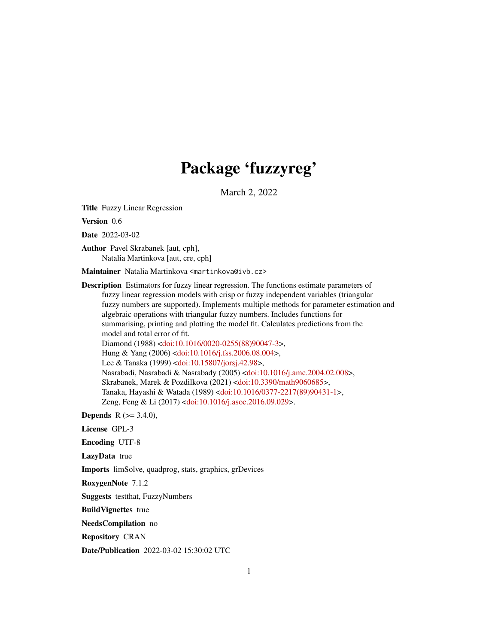# Package 'fuzzyreg'

March 2, 2022

Title Fuzzy Linear Regression

Version 0.6

Date 2022-03-02

Author Pavel Skrabanek [aut, cph], Natalia Martinkova [aut, cre, cph]

Maintainer Natalia Martinkova <martinkova@ivb.cz>

Description Estimators for fuzzy linear regression. The functions estimate parameters of fuzzy linear regression models with crisp or fuzzy independent variables (triangular fuzzy numbers are supported). Implements multiple methods for parameter estimation and algebraic operations with triangular fuzzy numbers. Includes functions for summarising, printing and plotting the model fit. Calculates predictions from the model and total error of fit. Diamond (1988) [<doi:10.1016/0020-0255\(88\)90047-3>](https://doi.org/10.1016/0020-0255(88)90047-3), Hung & Yang (2006) [<doi:10.1016/j.fss.2006.08.004>](https://doi.org/10.1016/j.fss.2006.08.004), Lee & Tanaka (1999) [<doi:10.15807/jorsj.42.98>](https://doi.org/10.15807/jorsj.42.98), Nasrabadi, Nasrabadi & Nasrabady (2005) [<doi:10.1016/j.amc.2004.02.008>](https://doi.org/10.1016/j.amc.2004.02.008), Skrabanek, Marek & Pozdilkova (2021) [<doi:10.3390/math9060685>](https://doi.org/10.3390/math9060685), Tanaka, Hayashi & Watada (1989) [<doi:10.1016/0377-2217\(89\)90431-1>](https://doi.org/10.1016/0377-2217(89)90431-1), Zeng, Feng & Li (2017) [<doi:10.1016/j.asoc.2016.09.029>](https://doi.org/10.1016/j.asoc.2016.09.029).

**Depends** R  $(>= 3.4.0)$ ,

License GPL-3

Encoding UTF-8

LazyData true

Imports limSolve, quadprog, stats, graphics, grDevices

RoxygenNote 7.1.2

Suggests testthat, FuzzyNumbers

BuildVignettes true

NeedsCompilation no

Repository CRAN

Date/Publication 2022-03-02 15:30:02 UTC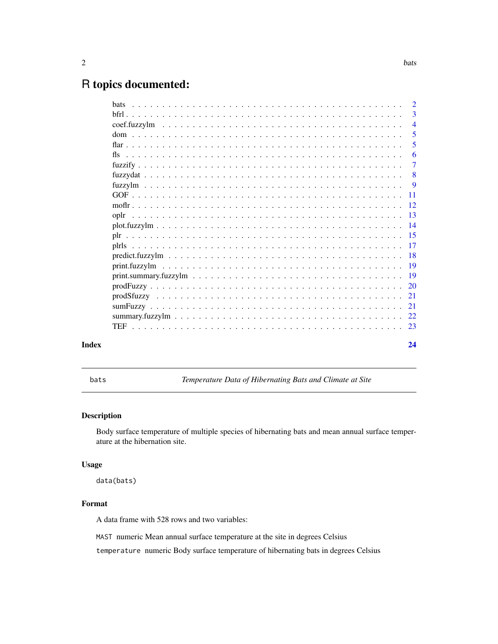## <span id="page-1-0"></span>R topics documented:

|       | $\overline{2}$ |
|-------|----------------|
|       | 3              |
|       | $\overline{4}$ |
|       | -5             |
|       | 5              |
|       | -6             |
|       | -7             |
|       | - 8            |
|       | $\overline{9}$ |
|       |                |
|       |                |
|       |                |
|       |                |
|       |                |
|       |                |
|       |                |
|       |                |
|       |                |
|       |                |
|       |                |
|       |                |
|       |                |
|       |                |
|       |                |
| Index | 24             |

bats *Temperature Data of Hibernating Bats and Climate at Site*

### Description

Body surface temperature of multiple species of hibernating bats and mean annual surface temperature at the hibernation site.

#### Usage

data(bats)

## Format

A data frame with 528 rows and two variables:

MAST numeric Mean annual surface temperature at the site in degrees Celsius

temperature numeric Body surface temperature of hibernating bats in degrees Celsius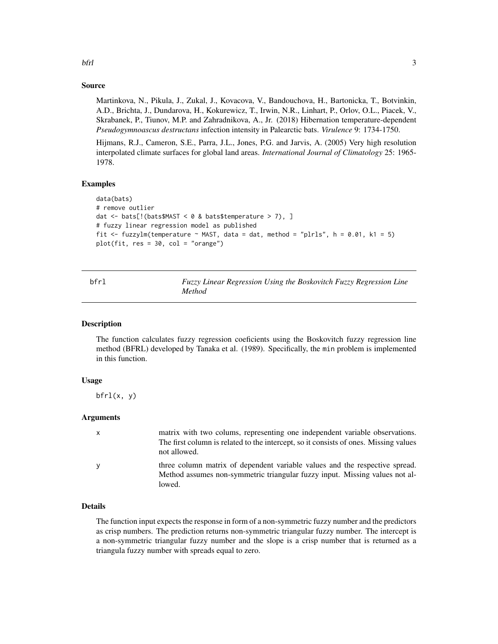# Source

Martinkova, N., Pikula, J., Zukal, J., Kovacova, V., Bandouchova, H., Bartonicka, T., Botvinkin, A.D., Brichta, J., Dundarova, H., Kokurewicz, T., Irwin, N.R., Linhart, P., Orlov, O.L., Piacek, V., Skrabanek, P., Tiunov, M.P. and Zahradnikova, A., Jr. (2018) Hibernation temperature-dependent *Pseudogymnoascus destructans* infection intensity in Palearctic bats. *Virulence* 9: 1734-1750.

Hijmans, R.J., Cameron, S.E., Parra, J.L., Jones, P.G. and Jarvis, A. (2005) Very high resolution interpolated climate surfaces for global land areas. *International Journal of Climatology* 25: 1965- 1978.

#### Examples

```
data(bats)
# remove outlier
dat \le bats[!(bats$MAST \le 0 & bats$temperature > 7), ]
# fuzzy linear regression model as published
fit \le fuzzylm(temperature \sim MAST, data = dat, method = "plrls", h = 0.01, k1 = 5)
plot(fit, res = 30, col = "orange")
```
<span id="page-2-1"></span>

| hfr1 | Fuzzy Linear Regression Using the Boskovitch Fuzzy Regression Line |  |  |  |
|------|--------------------------------------------------------------------|--|--|--|
|      | Method                                                             |  |  |  |

#### Description

The function calculates fuzzy regression coeficients using the Boskovitch fuzzy regression line method (BFRL) developed by Tanaka et al. (1989). Specifically, the min problem is implemented in this function.

#### Usage

 $bf($ x, y $)$ 

#### Arguments

| $\mathsf{x}$ | matrix with two colums, representing one independent variable observations.<br>The first column is related to the intercept, so it consists of ones. Missing values<br>not allowed. |
|--------------|-------------------------------------------------------------------------------------------------------------------------------------------------------------------------------------|
| <b>V</b>     | three column matrix of dependent variable values and the respective spread.<br>Method assumes non-symmetric triangular fuzzy input. Missing values not al-<br>lowed.                |

#### Details

The function input expects the response in form of a non-symmetric fuzzy number and the predictors as crisp numbers. The prediction returns non-symmetric triangular fuzzy number. The intercept is a non-symmetric triangular fuzzy number and the slope is a crisp number that is returned as a triangula fuzzy number with spreads equal to zero.

<span id="page-2-0"></span>bfrl 3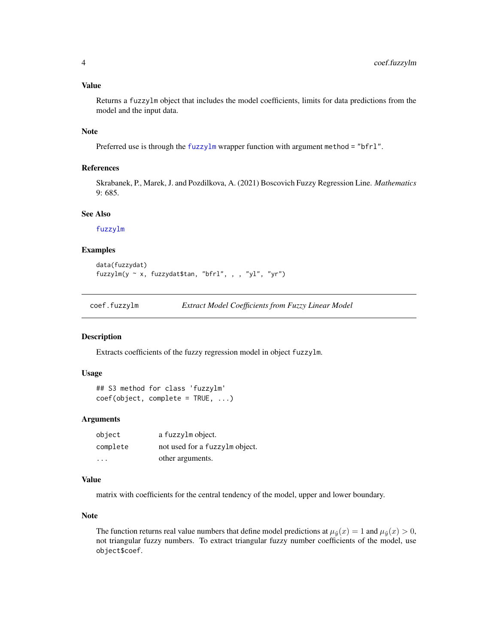#### <span id="page-3-0"></span>Value

Returns a fuzzylm object that includes the model coefficients, limits for data predictions from the model and the input data.

#### Note

Preferred use is through the [fuzzylm](#page-8-1) wrapper function with argument method = "bfrl".

#### References

Skrabanek, P., Marek, J. and Pozdilkova, A. (2021) Boscovich Fuzzy Regression Line. *Mathematics* 9: 685.

#### See Also

[fuzzylm](#page-8-1)

#### Examples

```
data(fuzzydat)
fuzzylm(y ~ x, fuzzydat$tan, "bfrl", , , "yl", "yr")
```
coef.fuzzylm *Extract Model Coefficients from Fuzzy Linear Model*

#### Description

Extracts coefficients of the fuzzy regression model in object fuzzylm.

#### Usage

```
## S3 method for class 'fuzzylm'
coef(object, complete = TRUE, ...)
```
#### Arguments

| object   | a fuzzylm object.              |
|----------|--------------------------------|
| complete | not used for a fuzzylm object. |
| .        | other arguments.               |

#### Value

matrix with coefficients for the central tendency of the model, upper and lower boundary.

#### Note

The function returns real value numbers that define model predictions at  $\mu_{\tilde{y}}(x) = 1$  and  $\mu_{\tilde{y}}(x) > 0$ , not triangular fuzzy numbers. To extract triangular fuzzy number coefficients of the model, use object\$coef.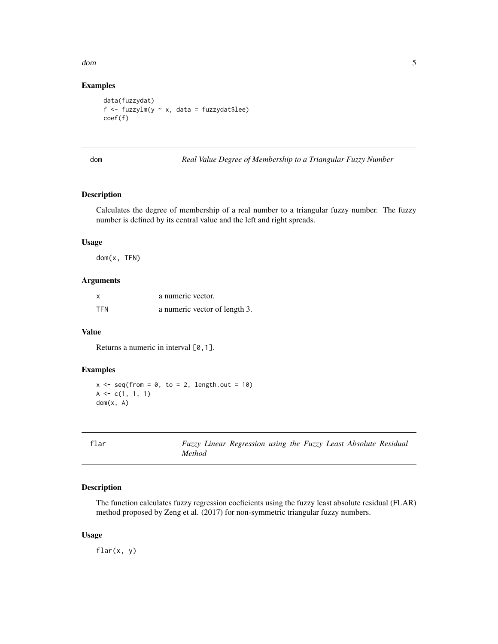<span id="page-4-0"></span>dom 5

#### Examples

```
data(fuzzydat)
f \le fuzzylm(y \sim x, data = fuzzydat$lee)
coef(f)
```
dom *Real Value Degree of Membership to a Triangular Fuzzy Number*

#### Description

Calculates the degree of membership of a real number to a triangular fuzzy number. The fuzzy number is defined by its central value and the left and right spreads.

#### Usage

dom(x, TFN)

#### Arguments

| X          | a numeric vector.             |
|------------|-------------------------------|
| <b>TFN</b> | a numeric vector of length 3. |

#### Value

Returns a numeric in interval [0,1].

#### Examples

```
x \leq - seq(from = 0, to = 2, length.out = 10)
A \leftarrow c(1, 1, 1)dom(x, A)
```
Fuzzy Linear Regression using the Fuzzy Least Absolute Residual *Method*

#### Description

The function calculates fuzzy regression coeficients using the fuzzy least absolute residual (FLAR) method proposed by Zeng et al. (2017) for non-symmetric triangular fuzzy numbers.

#### Usage

flar(x, y)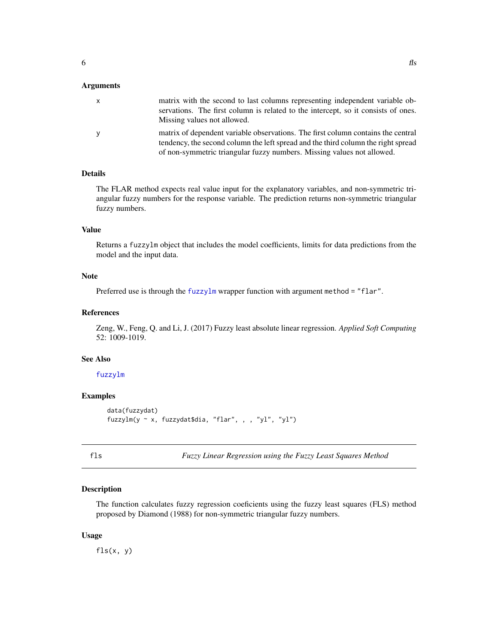#### <span id="page-5-0"></span>**Arguments**

| $\mathsf{x}$ | matrix with the second to last columns representing independent variable ob-<br>servations. The first column is related to the intercept, so it consists of ones.<br>Missing values not allowed.                                                |
|--------------|-------------------------------------------------------------------------------------------------------------------------------------------------------------------------------------------------------------------------------------------------|
| y            | matrix of dependent variable observations. The first column contains the central<br>tendency, the second column the left spread and the third column the right spread<br>of non-symmetric triangular fuzzy numbers. Missing values not allowed. |

#### Details

The FLAR method expects real value input for the explanatory variables, and non-symmetric triangular fuzzy numbers for the response variable. The prediction returns non-symmetric triangular fuzzy numbers.

#### Value

Returns a fuzzylm object that includes the model coefficients, limits for data predictions from the model and the input data.

#### Note

Preferred use is through the [fuzzylm](#page-8-1) wrapper function with argument method = "flar".

#### References

Zeng, W., Feng, Q. and Li, J. (2017) Fuzzy least absolute linear regression. *Applied Soft Computing* 52: 1009-1019.

#### See Also

#### [fuzzylm](#page-8-1)

#### Examples

```
data(fuzzydat)
fuzzylm(y ~ x, fuzzydat$dia, "flar", , , "yl", "yl")
```
<span id="page-5-1"></span>fls *Fuzzy Linear Regression using the Fuzzy Least Squares Method*

#### Description

The function calculates fuzzy regression coeficients using the fuzzy least squares (FLS) method proposed by Diamond (1988) for non-symmetric triangular fuzzy numbers.

#### Usage

 $fls(x, y)$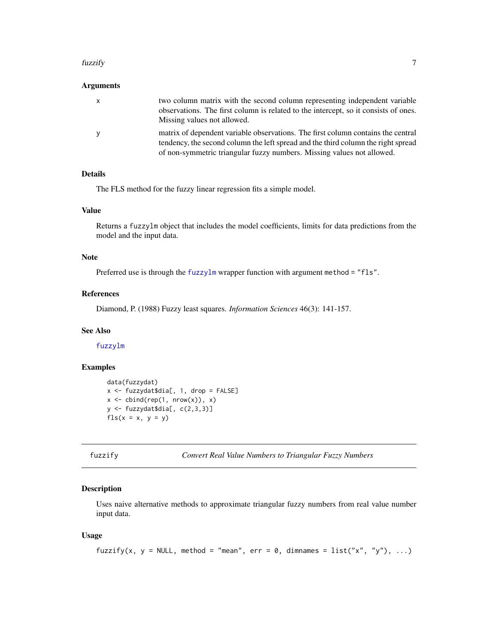#### <span id="page-6-0"></span>fuzzify **7**

#### Arguments

| $\mathsf{X}$ | two column matrix with the second column representing independent variable<br>observations. The first column is related to the intercept, so it consists of ones.<br>Missing values not allowed.                                                |
|--------------|-------------------------------------------------------------------------------------------------------------------------------------------------------------------------------------------------------------------------------------------------|
| <b>V</b>     | matrix of dependent variable observations. The first column contains the central<br>tendency, the second column the left spread and the third column the right spread<br>of non-symmetric triangular fuzzy numbers. Missing values not allowed. |

#### Details

The FLS method for the fuzzy linear regression fits a simple model.

#### Value

Returns a fuzzylm object that includes the model coefficients, limits for data predictions from the model and the input data.

#### Note

Preferred use is through the [fuzzylm](#page-8-1) wrapper function with argument method = "fls".

#### References

Diamond, P. (1988) Fuzzy least squares. *Information Sciences* 46(3): 141-157.

#### See Also

[fuzzylm](#page-8-1)

#### Examples

```
data(fuzzydat)
x <- fuzzydat$dia[, 1, drop = FALSE]
x \leftarrow \text{cbind}(\text{rep}(1, \text{ nrow}(x)), x)y \leftarrow fuzzydat$dia[, c(2,3,3)]
fls(x = x, y = y)
```

```
fuzzify Convert Real Value Numbers to Triangular Fuzzy Numbers
```
#### Description

Uses naive alternative methods to approximate triangular fuzzy numbers from real value number input data.

#### Usage

```
fuzzify(x, y = NULL, method = "mean", err = 0, dimnames = list("x", "y"), ...)
```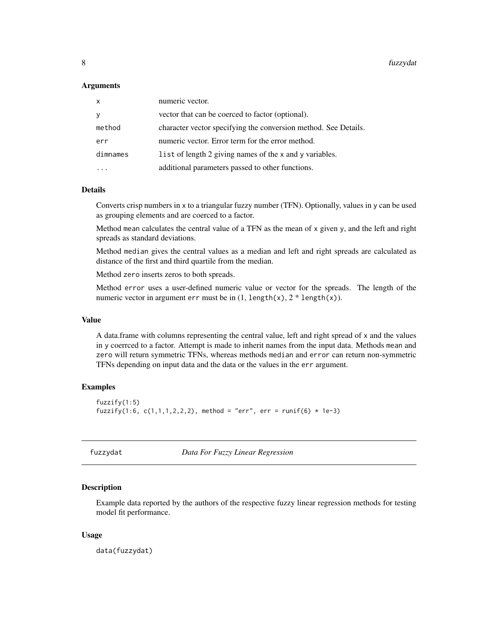#### <span id="page-7-0"></span>Arguments

| $\boldsymbol{\mathsf{x}}$ | numeric vector.                                                 |
|---------------------------|-----------------------------------------------------------------|
|                           | vector that can be coerced to factor (optional).                |
| method                    | character vector specifying the conversion method. See Details. |
| err                       | numeric vector. Error term for the error method.                |
| dimnames                  | list of length 2 giving names of the x and y variables.         |
|                           | additional parameters passed to other functions.                |

#### Details

Converts crisp numbers in x to a triangular fuzzy number (TFN). Optionally, values in y can be used as grouping elements and are coerced to a factor.

Method mean calculates the central value of a TFN as the mean of x given y, and the left and right spreads as standard deviations.

Method median gives the central values as a median and left and right spreads are calculated as distance of the first and third quartile from the median.

Method zero inserts zeros to both spreads.

Method error uses a user-defined numeric value or vector for the spreads. The length of the numeric vector in argument err must be in  $(1, length(x), 2 * length(x)).$ 

#### Value

A data.frame with columns representing the central value, left and right spread of x and the values in y coerrced to a factor. Attempt is made to inherit names from the input data. Methods mean and zero will return symmetric TFNs, whereas methods median and error can return non-symmetric TFNs depending on input data and the data or the values in the err argument.

#### Examples

```
fuzzify(1:5)
fuzzify(1:6, c(1,1,1,2,2,2), method = "err", err = runif(6) * 1e-3)
```
fuzzydat *Data For Fuzzy Linear Regression*

#### **Description**

Example data reported by the authors of the respective fuzzy linear regression methods for testing model fit performance.

#### Usage

data(fuzzydat)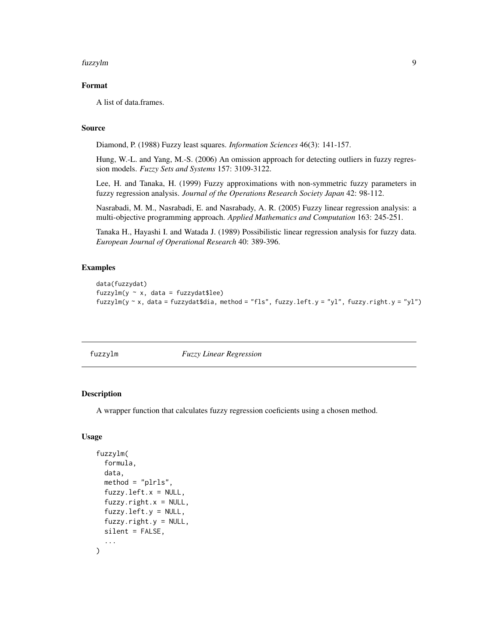#### <span id="page-8-0"></span>fuzzylm 9

#### Format

A list of data.frames.

#### Source

Diamond, P. (1988) Fuzzy least squares. *Information Sciences* 46(3): 141-157.

Hung, W.-L. and Yang, M.-S. (2006) An omission approach for detecting outliers in fuzzy regression models. *Fuzzy Sets and Systems* 157: 3109-3122.

Lee, H. and Tanaka, H. (1999) Fuzzy approximations with non-symmetric fuzzy parameters in fuzzy regression analysis. *Journal of the Operations Research Society Japan* 42: 98-112.

Nasrabadi, M. M., Nasrabadi, E. and Nasrabady, A. R. (2005) Fuzzy linear regression analysis: a multi-objective programming approach. *Applied Mathematics and Computation* 163: 245-251.

Tanaka H., Hayashi I. and Watada J. (1989) Possibilistic linear regression analysis for fuzzy data. *European Journal of Operational Research* 40: 389-396.

#### Examples

```
data(fuzzydat)
fuzzylm(y \sim x, data = fuzzydat$lee)
fuzzylm(y ~ x, data = fuzzydat$dia, method = "fls", fuzzy.left.y = "yl", fuzzy.right.y = "yl")
```
<span id="page-8-1"></span>

| fuzzylm |                                |  |
|---------|--------------------------------|--|
|         |                                |  |
|         | <b>Fuzzy Linear Regression</b> |  |
|         |                                |  |

#### Description

A wrapper function that calculates fuzzy regression coeficients using a chosen method.

#### Usage

```
fuzzylm(
  formula,
  data,
  method = "plrls",fuzzy.left.x = NULL,
  fuzzy.right.x = NULL,fuzzy.left.y = NULL,
  fuzzy.right.y = NULL,silent = FALSE,
  ...
)
```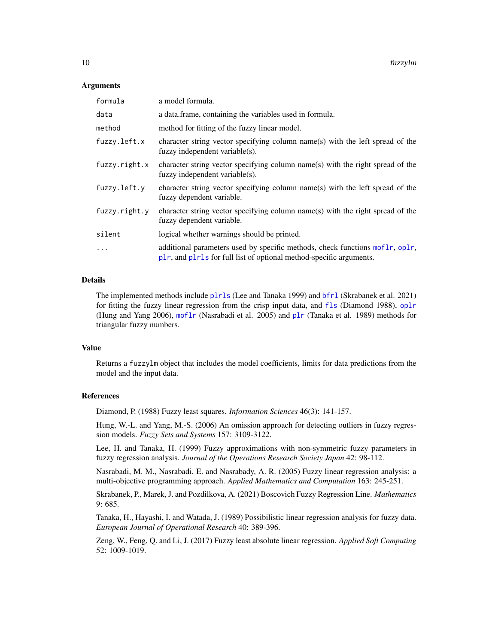#### <span id="page-9-0"></span>Arguments

| formula       | a model formula.                                                                                                                                    |
|---------------|-----------------------------------------------------------------------------------------------------------------------------------------------------|
| data          | a data. frame, containing the variables used in formula.                                                                                            |
| method        | method for fitting of the fuzzy linear model.                                                                                                       |
| fuzzy.left.x  | character string vector specifying column name(s) with the left spread of the<br>fuzzy independent variable(s).                                     |
| fuzzy.right.x | character string vector specifying column name(s) with the right spread of the<br>fuzzy independent variable(s).                                    |
| fuzzy.left.y  | character string vector specifying column name(s) with the left spread of the<br>fuzzy dependent variable.                                          |
| fuzzy.right.y | character string vector specifying column name(s) with the right spread of the<br>fuzzy dependent variable.                                         |
| silent        | logical whether warnings should be printed.                                                                                                         |
| $\cdots$      | additional parameters used by specific methods, check functions moflr, oplr,<br>plr, and plrls for full list of optional method-specific arguments. |

#### Details

The implemented methods include [plrls](#page-16-1) (Lee and Tanaka 1999) and [bfrl](#page-2-1) (Skrabanek et al. 2021) for fitting the fuzzy linear regression from the crisp input data, and [fls](#page-5-1) (Diamond 1988), [oplr](#page-12-1) (Hung and Yang 2006), [moflr](#page-11-1) (Nasrabadi et al. 2005) and [plr](#page-14-1) (Tanaka et al. 1989) methods for triangular fuzzy numbers.

#### Value

Returns a fuzzylm object that includes the model coefficients, limits for data predictions from the model and the input data.

#### References

Diamond, P. (1988) Fuzzy least squares. *Information Sciences* 46(3): 141-157.

Hung, W.-L. and Yang, M.-S. (2006) An omission approach for detecting outliers in fuzzy regression models. *Fuzzy Sets and Systems* 157: 3109-3122.

Lee, H. and Tanaka, H. (1999) Fuzzy approximations with non-symmetric fuzzy parameters in fuzzy regression analysis. *Journal of the Operations Research Society Japan* 42: 98-112.

Nasrabadi, M. M., Nasrabadi, E. and Nasrabady, A. R. (2005) Fuzzy linear regression analysis: a multi-objective programming approach. *Applied Mathematics and Computation* 163: 245-251.

Skrabanek, P., Marek, J. and Pozdilkova, A. (2021) Boscovich Fuzzy Regression Line. *Mathematics* 9: 685.

Tanaka, H., Hayashi, I. and Watada, J. (1989) Possibilistic linear regression analysis for fuzzy data. *European Journal of Operational Research* 40: 389-396.

Zeng, W., Feng, Q. and Li, J. (2017) Fuzzy least absolute linear regression. *Applied Soft Computing* 52: 1009-1019.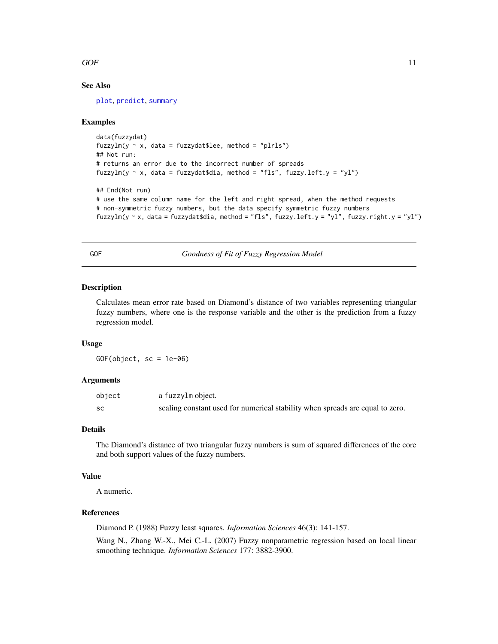#### <span id="page-10-0"></span> $GOF$  11

#### See Also

[plot](#page-13-1), [predict](#page-17-1), [summary](#page-21-1)

#### Examples

```
data(fuzzydat)
fuzzylm(y \sim x, data = fuzzydat$lee, method = "plrls")
## Not run:
# returns an error due to the incorrect number of spreads
fuzzylm(y \sim x, data = fuzzydat$dia, method = "fls", fuzzy.left.y = "yl")
## End(Not run)
# use the same column name for the left and right spread, when the method requests
# non-symmetric fuzzy numbers, but the data specify symmetric fuzzy numbers
fuzzylm(y \sim x, data = fuzzydat$dia, method = "fls", fuzzy.left.y = "yl", fuzzy.right.y = "yl")
```
<span id="page-10-1"></span>GOF *Goodness of Fit of Fuzzy Regression Model*

#### Description

Calculates mean error rate based on Diamond's distance of two variables representing triangular fuzzy numbers, where one is the response variable and the other is the prediction from a fuzzy regression model.

#### Usage

GOF(object, sc = 1e-06)

#### Arguments

| object    | a fuzzylm object.                                                             |
|-----------|-------------------------------------------------------------------------------|
| <b>SC</b> | scaling constant used for numerical stability when spreads are equal to zero. |

#### Details

The Diamond's distance of two triangular fuzzy numbers is sum of squared differences of the core and both support values of the fuzzy numbers.

#### Value

A numeric.

#### References

Diamond P. (1988) Fuzzy least squares. *Information Sciences* 46(3): 141-157.

Wang N., Zhang W.-X., Mei C.-L. (2007) Fuzzy nonparametric regression based on local linear smoothing technique. *Information Sciences* 177: 3882-3900.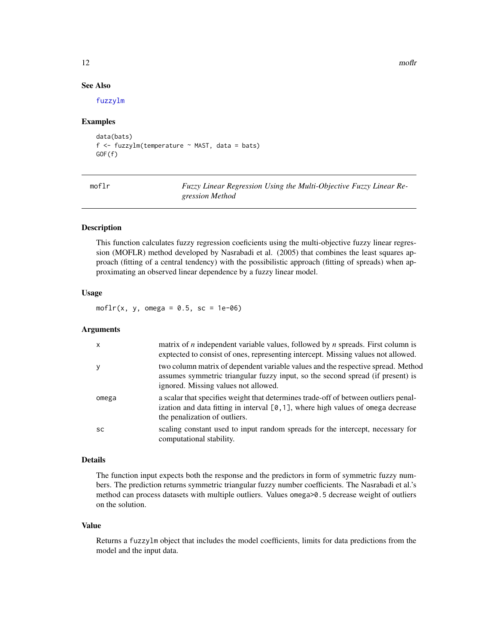#### See Also

[fuzzylm](#page-8-1)

#### Examples

```
data(bats)
f <- fuzzylm(temperature ~ MAST, data = bats)
GOF(f)
```
<span id="page-11-1"></span>

moflr *Fuzzy Linear Regression Using the Multi-Objective Fuzzy Linear Regression Method*

#### Description

This function calculates fuzzy regression coeficients using the multi-objective fuzzy linear regression (MOFLR) method developed by Nasrabadi et al. (2005) that combines the least squares approach (fitting of a central tendency) with the possibilistic approach (fitting of spreads) when approximating an observed linear dependence by a fuzzy linear model.

#### Usage

moflr(x, y, omega =  $0.5$ , sc = 1e-06)

#### Arguments

| $\mathsf{x}$ | matrix of $n$ independent variable values, followed by $n$ spreads. First column is<br>exprected to consist of ones, representing intercept. Missing values not allowed.                                    |
|--------------|-------------------------------------------------------------------------------------------------------------------------------------------------------------------------------------------------------------|
| y            | two column matrix of dependent variable values and the respective spread. Method<br>assumes symmetric triangular fuzzy input, so the second spread (if present) is<br>ignored. Missing values not allowed.  |
| omega        | a scalar that specifies weight that determines trade-off of between outliers penal-<br>ization and data fitting in interval $[0, 1]$ , where high values of omega decrease<br>the penalization of outliers. |
| <b>SC</b>    | scaling constant used to input random spreads for the intercept, necessary for<br>computational stability.                                                                                                  |

#### Details

The function input expects both the response and the predictors in form of symmetric fuzzy numbers. The prediction returns symmetric triangular fuzzy number coefficients. The Nasrabadi et al.'s method can process datasets with multiple outliers. Values omega>0.5 decrease weight of outliers on the solution.

#### Value

Returns a fuzzylm object that includes the model coefficients, limits for data predictions from the model and the input data.

12 modulation and the contract of the contract of the contract of the contract of the contract of the contract of the contract of the contract of the contract of the contract of the contract of the contract of the contract

<span id="page-11-0"></span>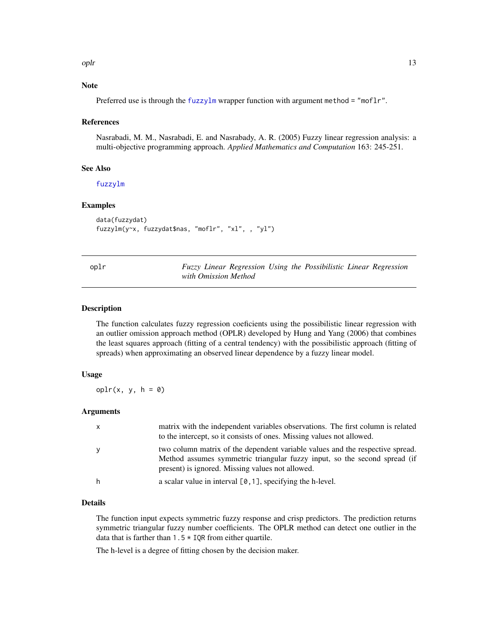<span id="page-12-0"></span>oplr the contract of the contract of the contract of the contract of the contract of the contract of the contract of the contract of the contract of the contract of the contract of the contract of the contract of the contr

#### Note

Preferred use is through the [fuzzylm](#page-8-1) wrapper function with argument method = "moflr".

#### References

Nasrabadi, M. M., Nasrabadi, E. and Nasrabady, A. R. (2005) Fuzzy linear regression analysis: a multi-objective programming approach. *Applied Mathematics and Computation* 163: 245-251.

#### See Also

[fuzzylm](#page-8-1)

#### Examples

```
data(fuzzydat)
fuzzylm(y~x, fuzzydat$nas, "moflr", "xl", , "yl")
```
<span id="page-12-1"></span>

| ٠ |  | × |
|---|--|---|

oplr *Fuzzy Linear Regression Using the Possibilistic Linear Regression with Omission Method*

#### Description

The function calculates fuzzy regression coeficients using the possibilistic linear regression with an outlier omission approach method (OPLR) developed by Hung and Yang (2006) that combines the least squares approach (fitting of a central tendency) with the possibilistic approach (fitting of spreads) when approximating an observed linear dependence by a fuzzy linear model.

#### Usage

 $oplr(x, y, h = 0)$ 

#### Arguments

| $\mathsf{x}$ | matrix with the independent variables observations. The first column is related<br>to the intercept, so it consists of ones. Missing values not allowed.                                                       |
|--------------|----------------------------------------------------------------------------------------------------------------------------------------------------------------------------------------------------------------|
| y            | two column matrix of the dependent variable values and the respective spread.<br>Method assumes symmetric triangular fuzzy input, so the second spread (if<br>present) is ignored. Missing values not allowed. |
| h            | a scalar value in interval $[0, 1]$ , specifying the h-level.                                                                                                                                                  |

#### Details

The function input expects symmetric fuzzy response and crisp predictors. The prediction returns symmetric triangular fuzzy number coefficients. The OPLR method can detect one outlier in the data that is farther than  $1.5 \times IQR$  from either quartile.

The h-level is a degree of fitting chosen by the decision maker.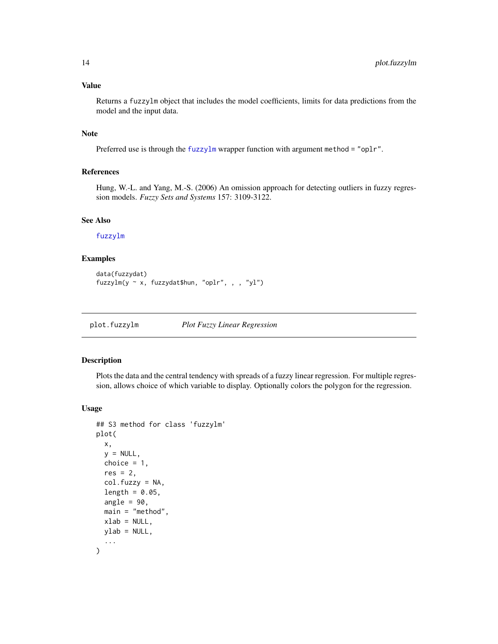#### <span id="page-13-0"></span>Value

Returns a fuzzylm object that includes the model coefficients, limits for data predictions from the model and the input data.

#### Note

Preferred use is through the [fuzzylm](#page-8-1) wrapper function with argument method = "oplr".

#### References

Hung, W.-L. and Yang, M.-S. (2006) An omission approach for detecting outliers in fuzzy regression models. *Fuzzy Sets and Systems* 157: 3109-3122.

#### See Also

#### [fuzzylm](#page-8-1)

#### Examples

```
data(fuzzydat)
fuzzylm(y ~ x, fuzzydat$hun, "oplr", , , "yl")
```
<span id="page-13-1"></span>plot.fuzzylm *Plot Fuzzy Linear Regression*

#### Description

Plots the data and the central tendency with spreads of a fuzzy linear regression. For multiple regression, allows choice of which variable to display. Optionally colors the polygon for the regression.

#### Usage

```
## S3 method for class 'fuzzylm'
plot(
  x,
  y = NULL,choice = 1,
  res = 2,
  col.fuzzy = NA,
  length = 0.05,
  angle = 90.
 main = "method",xlab = NULL,
 ylab = NULL,
  ...
)
```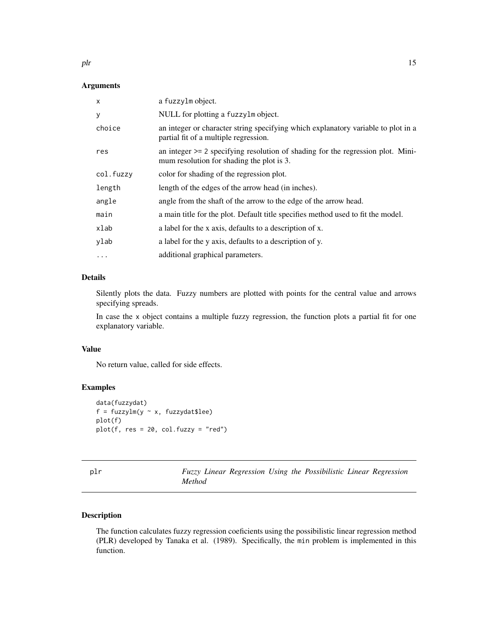<span id="page-14-0"></span>plr the contract of the contract of the contract of the contract of the contract of the contract of the contract of the contract of the contract of the contract of the contract of the contract of the contract of the contra

#### Arguments

| X         | a fuzzylm object.                                                                                                               |
|-----------|---------------------------------------------------------------------------------------------------------------------------------|
| У         | NULL for plotting a fuzzylm object.                                                                                             |
| choice    | an integer or character string specifying which explanatory variable to plot in a<br>partial fit of a multiple regression.      |
| res       | an integer $\ge$ 2 specifying resolution of shading for the regression plot. Mini-<br>mum resolution for shading the plot is 3. |
| col.fuzzy | color for shading of the regression plot.                                                                                       |
| length    | length of the edges of the arrow head (in inches).                                                                              |
| angle     | angle from the shaft of the arrow to the edge of the arrow head.                                                                |
| main      | a main title for the plot. Default title specifies method used to fit the model.                                                |
| xlab      | a label for the x axis, defaults to a description of x.                                                                         |
| ylab      | a label for the y axis, defaults to a description of y.                                                                         |
| $\ddotsc$ | additional graphical parameters.                                                                                                |

### Details

Silently plots the data. Fuzzy numbers are plotted with points for the central value and arrows specifying spreads.

In case the x object contains a multiple fuzzy regression, the function plots a partial fit for one explanatory variable.

#### Value

No return value, called for side effects.

#### Examples

```
data(fuzzydat)
f = fuzzylm(y \sim x, fuzzydat$lee)plot(f)
plot(f, res = 20, col.fuzzy = "red")
```
<span id="page-14-1"></span>

| plr |        |  |  | Fuzzy Linear Regression Using the Possibilistic Linear Regression |  |
|-----|--------|--|--|-------------------------------------------------------------------|--|
|     | Method |  |  |                                                                   |  |

#### Description

The function calculates fuzzy regression coeficients using the possibilistic linear regression method (PLR) developed by Tanaka et al. (1989). Specifically, the min problem is implemented in this function.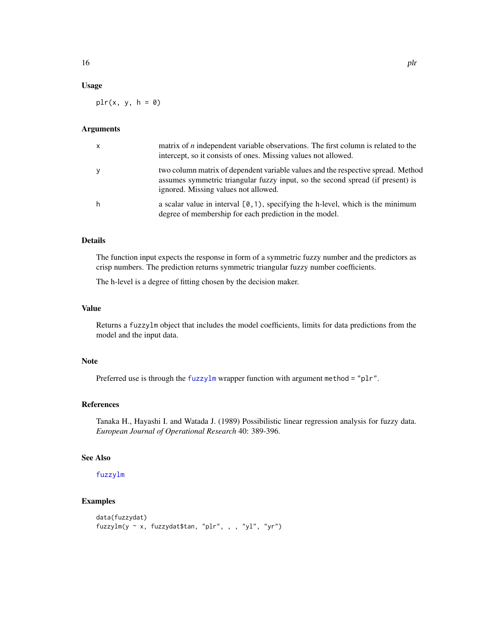#### <span id="page-15-0"></span>Usage

 $plr(x, y, h = 0)$ 

#### Arguments

| $\mathsf{x}$ | matrix of $n$ independent variable observations. The first column is related to the<br>intercept, so it consists of ones. Missing values not allowed.                                                      |
|--------------|------------------------------------------------------------------------------------------------------------------------------------------------------------------------------------------------------------|
| y            | two column matrix of dependent variable values and the respective spread. Method<br>assumes symmetric triangular fuzzy input, so the second spread (if present) is<br>ignored. Missing values not allowed. |
| h            | a scalar value in interval $[0,1)$ , specifying the h-level, which is the minimum<br>degree of membership for each prediction in the model.                                                                |

#### Details

The function input expects the response in form of a symmetric fuzzy number and the predictors as crisp numbers. The prediction returns symmetric triangular fuzzy number coefficients.

The h-level is a degree of fitting chosen by the decision maker.

#### Value

Returns a fuzzylm object that includes the model coefficients, limits for data predictions from the model and the input data.

#### Note

Preferred use is through the [fuzzylm](#page-8-1) wrapper function with argument method = "plr".

#### References

Tanaka H., Hayashi I. and Watada J. (1989) Possibilistic linear regression analysis for fuzzy data. *European Journal of Operational Research* 40: 389-396.

#### See Also

#### [fuzzylm](#page-8-1)

#### Examples

```
data(fuzzydat)
fuzzylm(y ~ x, fuzzydat$tan, "plr", , , "yl", "yr")
```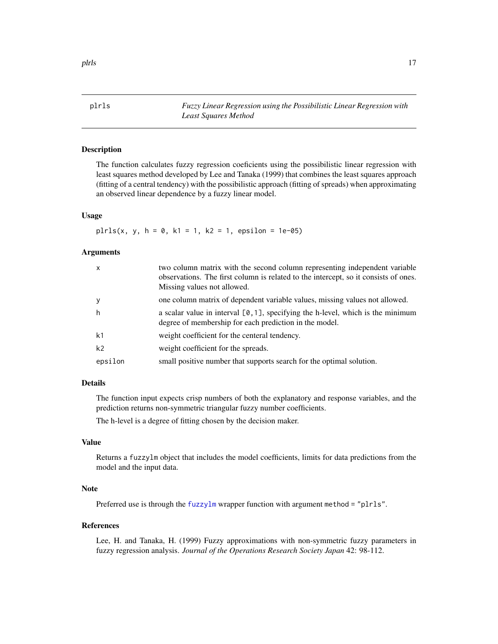<span id="page-16-1"></span><span id="page-16-0"></span>plrls *Fuzzy Linear Regression using the Possibilistic Linear Regression with Least Squares Method*

#### Description

The function calculates fuzzy regression coeficients using the possibilistic linear regression with least squares method developed by Lee and Tanaka (1999) that combines the least squares approach (fitting of a central tendency) with the possibilistic approach (fitting of spreads) when approximating an observed linear dependence by a fuzzy linear model.

#### Usage

 $plrls(x, y, h = 0, k1 = 1, k2 = 1, epsilon = 1e-05)$ 

#### Arguments

| $\mathsf{x}$   | two column matrix with the second column representing independent variable<br>observations. The first column is related to the intercept, so it consists of ones.<br>Missing values not allowed. |
|----------------|--------------------------------------------------------------------------------------------------------------------------------------------------------------------------------------------------|
| y              | one column matrix of dependent variable values, missing values not allowed.                                                                                                                      |
| h              | a scalar value in interval $[0, 1]$ , specifying the h-level, which is the minimum<br>degree of membership for each prediction in the model.                                                     |
| k <sub>1</sub> | weight coefficient for the centeral tendency.                                                                                                                                                    |
| k <sub>2</sub> | weight coefficient for the spreads.                                                                                                                                                              |
| epsilon        | small positive number that supports search for the optimal solution.                                                                                                                             |

#### Details

The function input expects crisp numbers of both the explanatory and response variables, and the prediction returns non-symmetric triangular fuzzy number coefficients.

The h-level is a degree of fitting chosen by the decision maker.

#### Value

Returns a fuzzylm object that includes the model coefficients, limits for data predictions from the model and the input data.

#### Note

Preferred use is through the [fuzzylm](#page-8-1) wrapper function with argument method = "plrls".

#### References

Lee, H. and Tanaka, H. (1999) Fuzzy approximations with non-symmetric fuzzy parameters in fuzzy regression analysis. *Journal of the Operations Research Society Japan* 42: 98-112.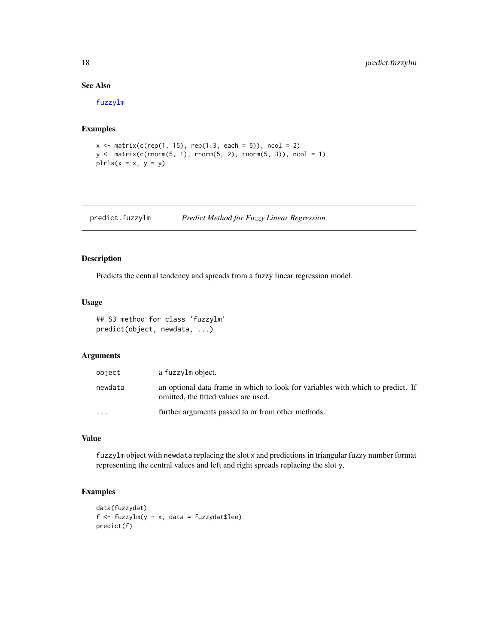#### See Also

[fuzzylm](#page-8-1)

#### Examples

```
x \le matrix(c(rep(1, 15), rep(1:3, each = 5)), ncol = 2)
y \le - matrix(c(rnorm(5, 1), rnorm(5, 2), rnorm(5, 3)), ncol = 1)
pirls(x = x, y = y)
```
<span id="page-17-1"></span>predict.fuzzylm *Predict Method for Fuzzy Linear Regression*

#### Description

Predicts the central tendency and spreads from a fuzzy linear regression model.

#### Usage

```
## S3 method for class 'fuzzylm'
predict(object, newdata, ...)
```
#### Arguments

| object                  | a fuzzylm object.                                                                                                       |  |
|-------------------------|-------------------------------------------------------------------------------------------------------------------------|--|
| newdata                 | an optional data frame in which to look for variables with which to predict. If<br>omitted, the fitted values are used. |  |
| $\cdot$ $\cdot$ $\cdot$ | further arguments passed to or from other methods.                                                                      |  |

#### Value

fuzzylm object with newdata replacing the slot x and predictions in triangular fuzzy number format representing the central values and left and right spreads replacing the slot y.

#### Examples

```
data(fuzzydat)
f \leftarrow \text{fuzzylm}(y \sim x, \text{ data = fuzzydata})predict(f)
```
<span id="page-17-0"></span>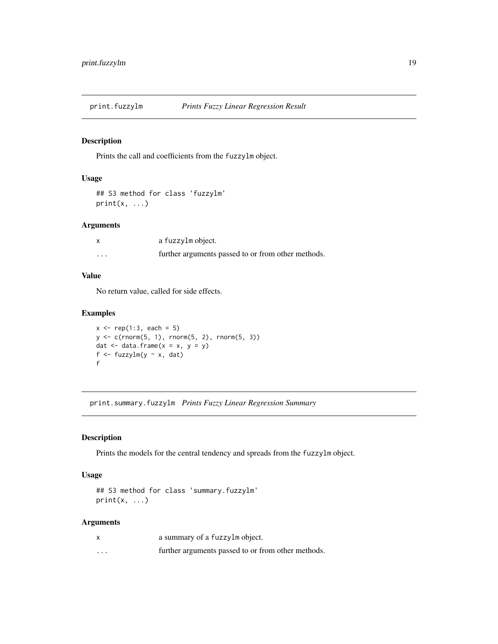<span id="page-18-0"></span>

#### Description

Prints the call and coefficients from the fuzzylm object.

#### Usage

```
## S3 method for class 'fuzzylm'
print(x, \ldots)
```
#### Arguments

|          | a fuzzylm object.                                  |
|----------|----------------------------------------------------|
| $\cdots$ | further arguments passed to or from other methods. |

#### Value

No return value, called for side effects.

#### Examples

```
x \leq -rep(1:3, each = 5)y \leq c(\text{rnorm}(5, 1), \text{rnorm}(5, 2), \text{rnorm}(5, 3))dat \leq data.frame(x = x, y = y)
f \leftarrow \text{fuzzylm}(y \sim x, \text{dat})f
```
print.summary.fuzzylm *Prints Fuzzy Linear Regression Summary*

#### Description

Prints the models for the central tendency and spreads from the fuzzylm object.

#### Usage

```
## S3 method for class 'summary.fuzzylm'
print(x, \ldots)
```
#### Arguments

|                   | a summary of a fuzzylm object.                     |
|-------------------|----------------------------------------------------|
| $\cdot\cdot\cdot$ | further arguments passed to or from other methods. |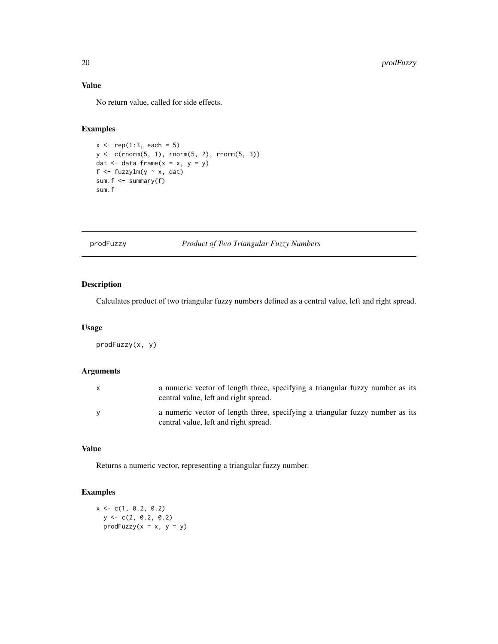### Value

No return value, called for side effects.

#### Examples

```
x \leq -rep(1:3, each = 5)y <- c(rnorm(5, 1), rnorm(5, 2), rnorm(5, 3))
dat \leq data.frame(x = x, y = y)
f <- fuzzylm(y \sim x, dat)
sum.f \leq summary(f)
sum.f
```
prodFuzzy *Product of Two Triangular Fuzzy Numbers*

#### Description

Calculates product of two triangular fuzzy numbers defined as a central value, left and right spread.

#### Usage

prodFuzzy(x, y)

#### Arguments

| a numeric vector of length three, specifying a triangular fuzzy number as its<br>central value, left and right spread. |
|------------------------------------------------------------------------------------------------------------------------|
| a numeric vector of length three, specifying a triangular fuzzy number as its<br>central value, left and right spread. |

#### Value

Returns a numeric vector, representing a triangular fuzzy number.

#### Examples

 $x \leq -c(1, 0.2, 0.2)$  $y \leftarrow c(2, 0.2, 0.2)$  $prodFuzzy(x = x, y = y)$ 

<span id="page-19-0"></span>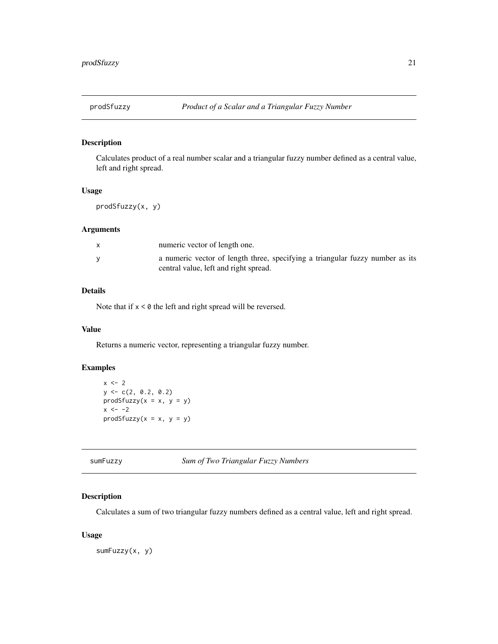<span id="page-20-0"></span>

#### Description

Calculates product of a real number scalar and a triangular fuzzy number defined as a central value, left and right spread.

#### Usage

prodSfuzzy(x, y)

#### Arguments

| numeric vector of length one.                                                                                          |
|------------------------------------------------------------------------------------------------------------------------|
| a numeric vector of length three, specifying a triangular fuzzy number as its<br>central value, left and right spread. |

#### Details

Note that if  $x < 0$  the left and right spread will be reversed.

#### Value

Returns a numeric vector, representing a triangular fuzzy number.

#### Examples

```
x \le -2y \leftarrow c(2, 0.2, 0.2)prodSfuzzy(x = x, y = y)x \le -2prodSfuzzy(x = x, y = y)
```
sumFuzzy *Sum of Two Triangular Fuzzy Numbers*

#### Description

Calculates a sum of two triangular fuzzy numbers defined as a central value, left and right spread.

#### Usage

sumFuzzy(x, y)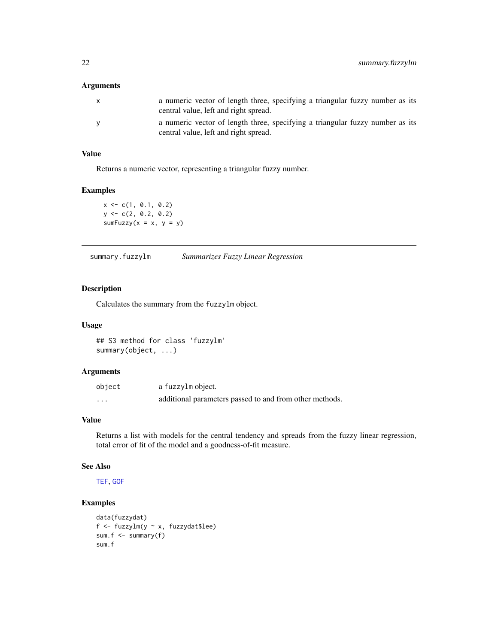#### <span id="page-21-0"></span>Arguments

| $\mathsf{x}$ | a numeric vector of length three, specifying a triangular fuzzy number as its<br>central value, left and right spread. |
|--------------|------------------------------------------------------------------------------------------------------------------------|
| <b>V</b>     | a numeric vector of length three, specifying a triangular fuzzy number as its<br>central value, left and right spread. |

#### Value

Returns a numeric vector, representing a triangular fuzzy number.

#### Examples

 $x \leq c(1, 0.1, 0.2)$  $y \leftarrow c(2, 0.2, 0.2)$ sumFuzzy( $x = x$ ,  $y = y$ )

<span id="page-21-1"></span>summary.fuzzylm *Summarizes Fuzzy Linear Regression*

#### Description

Calculates the summary from the fuzzylm object.

#### Usage

## S3 method for class 'fuzzylm' summary(object, ...)

#### Arguments

| object   | a fuzzylm object.                                       |
|----------|---------------------------------------------------------|
| $\cdots$ | additional parameters passed to and from other methods. |

#### Value

Returns a list with models for the central tendency and spreads from the fuzzy linear regression, total error of fit of the model and a goodness-of-fit measure.

#### See Also

[TEF](#page-22-1), [GOF](#page-10-1)

#### Examples

```
data(fuzzydat)
f <- fuzzylm(y ~ x, fuzzydat$lee)
sum.f <- summary(f)
sum.f
```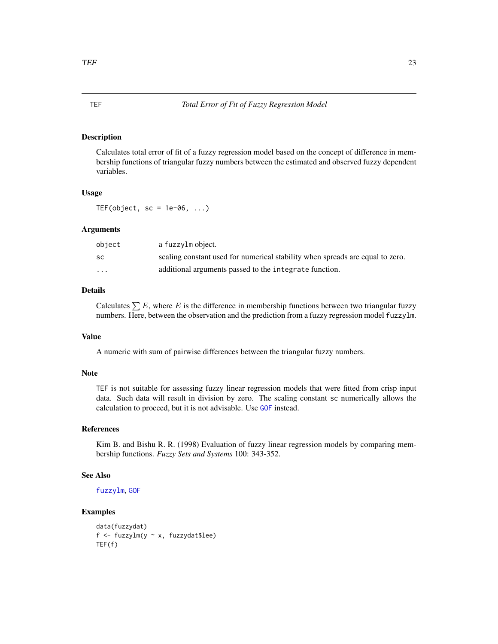#### Description

Calculates total error of fit of a fuzzy regression model based on the concept of difference in membership functions of triangular fuzzy numbers between the estimated and observed fuzzy dependent variables.

#### Usage

TEF(object,  $sc = 1e-06$ , ...)

#### Arguments

| object                  | a fuzzylm object.                                                             |
|-------------------------|-------------------------------------------------------------------------------|
| SC.                     | scaling constant used for numerical stability when spreads are equal to zero. |
| $\cdot$ $\cdot$ $\cdot$ | additional arguments passed to the integrate function.                        |

#### Details

Calculates  $\sum E$ , where E is the difference in membership functions between two triangular fuzzy numbers. Here, between the observation and the prediction from a fuzzy regression model fuzzylm.

#### Value

A numeric with sum of pairwise differences between the triangular fuzzy numbers.

#### **Note**

TEF is not suitable for assessing fuzzy linear regression models that were fitted from crisp input data. Such data will result in division by zero. The scaling constant sc numerically allows the calculation to proceed, but it is not advisable. Use [GOF](#page-10-1) instead.

#### References

Kim B. and Bishu R. R. (1998) Evaluation of fuzzy linear regression models by comparing membership functions. *Fuzzy Sets and Systems* 100: 343-352.

#### See Also

[fuzzylm](#page-8-1), [GOF](#page-10-1)

#### Examples

```
data(fuzzydat)
f <- fuzzylm(y ~ x, fuzzydat$lee)
TEF(f)
```
#### <span id="page-22-1"></span><span id="page-22-0"></span>TEF *Total Error of Fit of Fuzzy Regression Model*